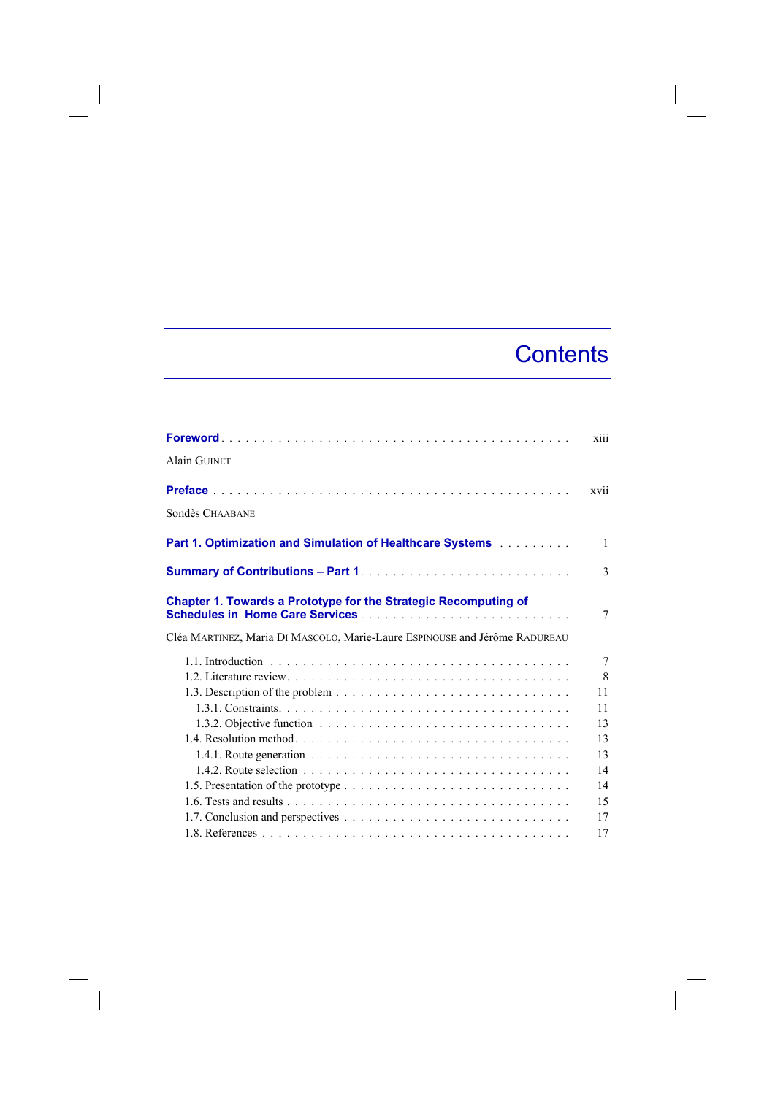## **Contents**

|                                                                                                                  | xiii            |
|------------------------------------------------------------------------------------------------------------------|-----------------|
| <b>Alain GUINET</b>                                                                                              |                 |
|                                                                                                                  | xvii            |
| Sondès CHAABANE                                                                                                  |                 |
| Part 1. Optimization and Simulation of Healthcare Systems                                                        | $\mathbf{1}$    |
|                                                                                                                  | $\mathcal{E}$   |
| <b>Chapter 1. Towards a Prototype for the Strategic Recomputing of</b><br><b>Schedules in Home Care Services</b> | 7               |
| Cléa MARTINEZ, Maria DI MASCOLO, Marie-Laure ESPINOUSE and Jérôme RADUREAU                                       |                 |
|                                                                                                                  | $7\phantom{.0}$ |
|                                                                                                                  | 8               |
|                                                                                                                  | 11              |
|                                                                                                                  | 11              |
|                                                                                                                  | 13              |
|                                                                                                                  | 13              |
|                                                                                                                  | 13              |
|                                                                                                                  | 14              |
|                                                                                                                  | 14              |
|                                                                                                                  | 15              |
|                                                                                                                  | 17              |
|                                                                                                                  | 17              |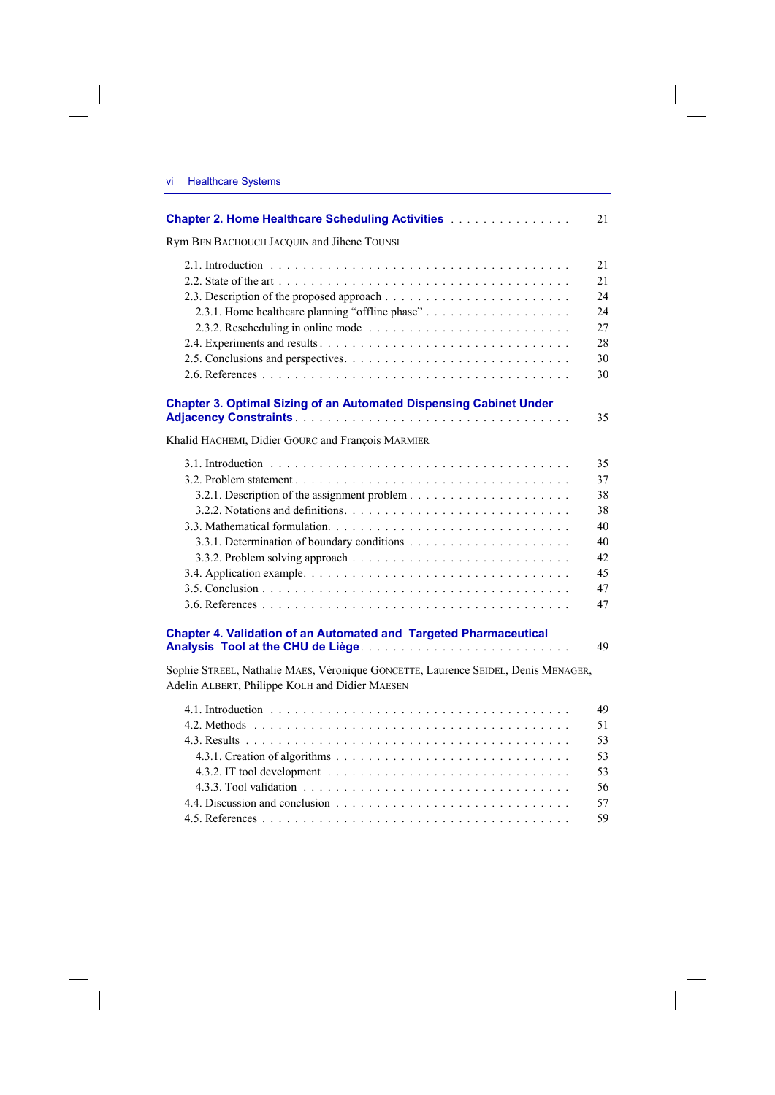| <b>VI</b> |  | <b>Healthcare Systems</b> |
|-----------|--|---------------------------|
|-----------|--|---------------------------|

 $\sim$  1

 $\begin{array}{c} \hline \end{array}$ 

| <b>Chapter 2. Home Healthcare Scheduling Activities Activities</b>                                                                  | 21                                                             |
|-------------------------------------------------------------------------------------------------------------------------------------|----------------------------------------------------------------|
| Rym BEN BACHOUCH JACQUIN and Jihene TOUNSI                                                                                          |                                                                |
| 2.3.1. Home healthcare planning "offline phase"                                                                                     | 21<br>21<br>24<br>24<br>27<br>28<br>30<br>30                   |
| <b>Chapter 3. Optimal Sizing of an Automated Dispensing Cabinet Under</b>                                                           | 35                                                             |
| Khalid HACHEMI, Didier GOURC and François MARMIER                                                                                   |                                                                |
| 3.3. Mathematical formulation.<br><b>Chapter 4. Validation of an Automated and Targeted Pharmaceutical</b>                          | 35<br>37<br>38<br>38<br>40<br>40<br>42<br>45<br>47<br>47<br>49 |
| Sophie STREEL, Nathalie MAES, Véronique GONCETTE, Laurence SEIDEL, Denis MENAGER,<br>Adelin ALBERT, Philippe KOLH and Didier MAESEN |                                                                |
|                                                                                                                                     | 49<br>51<br>53<br>53<br>53<br>56<br>57                         |

 $\mathcal{L}_{\mathcal{A}}$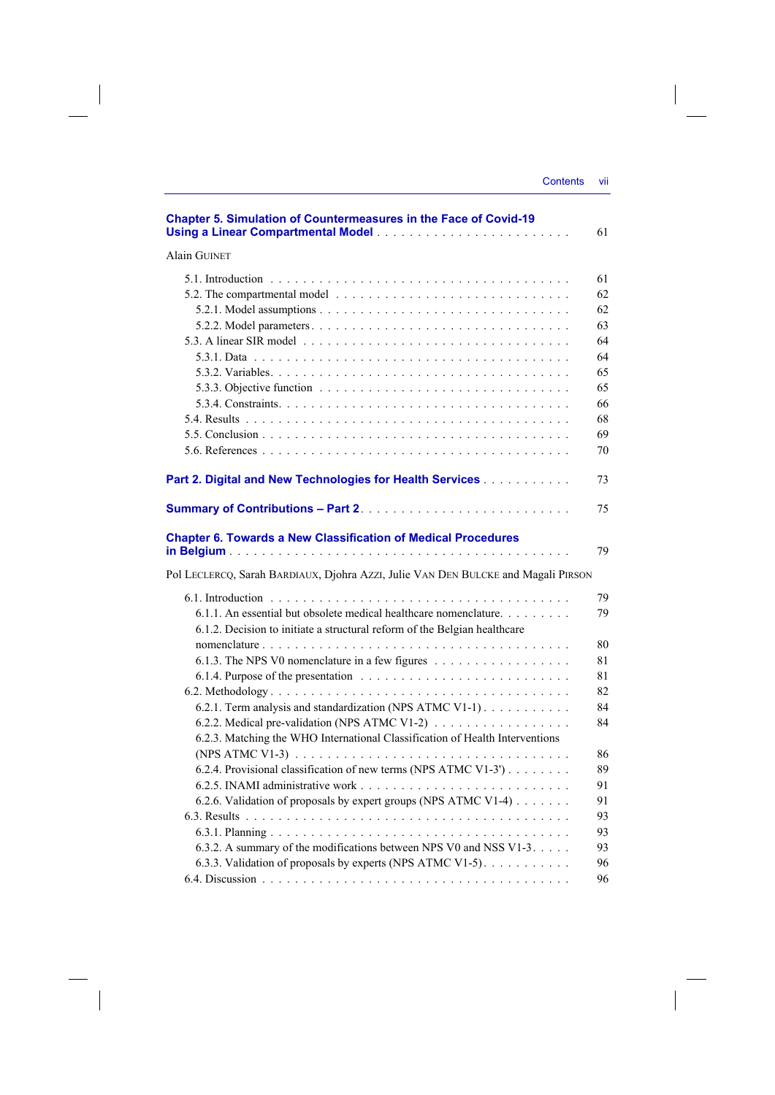$\begin{array}{c} \hline \end{array}$ 

| <b>Chapter 5. Simulation of Countermeasures in the Face of Covid-19</b>                                     | 61 |
|-------------------------------------------------------------------------------------------------------------|----|
| <b>Alain GUINET</b>                                                                                         |    |
|                                                                                                             | 61 |
| 5.2. The compartmental model $\ldots \ldots \ldots \ldots \ldots \ldots \ldots \ldots \ldots \ldots \ldots$ | 62 |
|                                                                                                             | 62 |
|                                                                                                             | 63 |
|                                                                                                             | 64 |
|                                                                                                             | 64 |
|                                                                                                             | 65 |
|                                                                                                             | 65 |
|                                                                                                             |    |
|                                                                                                             | 66 |
|                                                                                                             | 68 |
|                                                                                                             | 69 |
|                                                                                                             | 70 |
| Part 2. Digital and New Technologies for Health Services                                                    | 73 |
|                                                                                                             | 75 |
| <b>Chapter 6. Towards a New Classification of Medical Procedures</b>                                        |    |
|                                                                                                             | 79 |
| Pol LECLERCQ, Sarah BARDIAUX, Djohra AZZI, Julie VAN DEN BULCKE and Magali PIRSON                           |    |
|                                                                                                             | 79 |
| 6.1.1. An essential but obsolete medical healthcare nomenclature. $\dots$                                   | 79 |
| 6.1.2. Decision to initiate a structural reform of the Belgian healthcare                                   |    |
|                                                                                                             | 80 |
|                                                                                                             | 81 |
|                                                                                                             | 81 |
|                                                                                                             | 82 |
| 6.2.1. Term analysis and standardization (NPS ATMC V1-1)                                                    | 84 |
| 6.2.2. Medical pre-validation (NPS ATMC V1-2)                                                               | 84 |
| 6.2.3. Matching the WHO International Classification of Health Interventions                                |    |
|                                                                                                             | 86 |
| 6.2.4. Provisional classification of new terms (NPS ATMC V1-3')                                             | 89 |
|                                                                                                             | 91 |
| 6.2.6. Validation of proposals by expert groups (NPS ATMC V1-4)                                             | 91 |
|                                                                                                             | 93 |
|                                                                                                             | 93 |
| 6.3.2. A summary of the modifications between NPS V0 and NSS V1-3.                                          | 93 |
| 6.3.3. Validation of proposals by experts (NPS ATMC V1-5).                                                  | 96 |
|                                                                                                             | 96 |
|                                                                                                             |    |

 $\overline{\phantom{a}}$ 

 $\begin{array}{c} \hline \end{array}$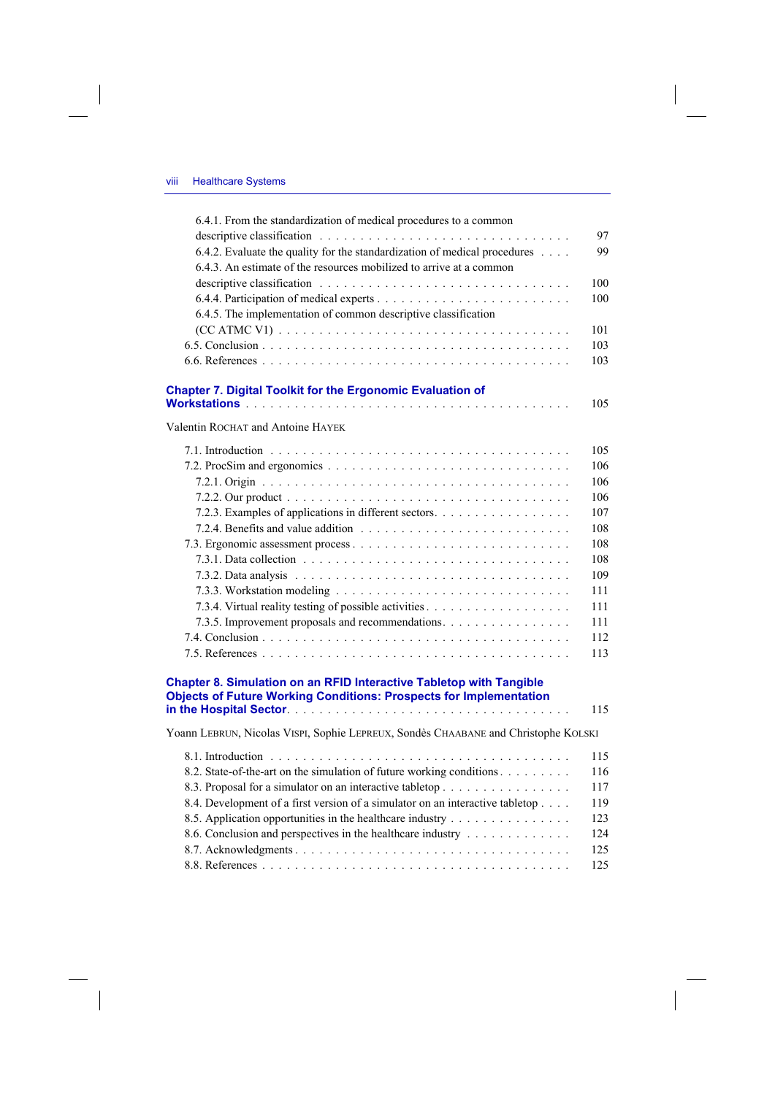$\overline{\phantom{a}}$ 

| 6.4.1. From the standardization of medical procedures to a common                  | 97  |
|------------------------------------------------------------------------------------|-----|
| 6.4.2. Evaluate the quality for the standardization of medical procedures          | 99  |
| 6.4.3. An estimate of the resources mobilized to arrive at a common                |     |
|                                                                                    | 100 |
|                                                                                    | 100 |
| 6.4.5. The implementation of common descriptive classification                     |     |
|                                                                                    | 101 |
|                                                                                    | 103 |
|                                                                                    | 103 |
| <b>Chapter 7. Digital Toolkit for the Ergonomic Evaluation of</b>                  |     |
|                                                                                    | 105 |
| Valentin ROCHAT and Antoine HAYEK                                                  |     |
|                                                                                    | 105 |
|                                                                                    | 106 |
|                                                                                    | 106 |
|                                                                                    | 106 |
| 7.2.3. Examples of applications in different sectors.                              | 107 |
|                                                                                    | 108 |
|                                                                                    | 108 |
|                                                                                    | 108 |
|                                                                                    | 109 |
|                                                                                    | 111 |
|                                                                                    | 111 |
| 7.3.5. Improvement proposals and recommendations.                                  | 111 |
|                                                                                    | 112 |
|                                                                                    | 113 |
| Chapter 8. Simulation on an RFID Interactive Tabletop with Tangible                |     |
| <b>Objects of Future Working Conditions: Prospects for Implementation</b>          |     |
|                                                                                    | 115 |
| Yoann LEBRUN, Nicolas VISPI, Sophie LEPREUX, Sondès CHAABANE and Christophe KOLSKI |     |
|                                                                                    | 115 |
| 8.2. State-of-the-art on the simulation of future working conditions               | 116 |
| 8.3. Proposal for a simulator on an interactive tabletop                           | 117 |
| 8.4. Development of a first version of a simulator on an interactive tabletop      | 119 |
| 8.5. Application opportunities in the healthcare industry                          | 123 |
| 8.6. Conclusion and perspectives in the healthcare industry                        | 124 |
|                                                                                    | 125 |
|                                                                                    | 125 |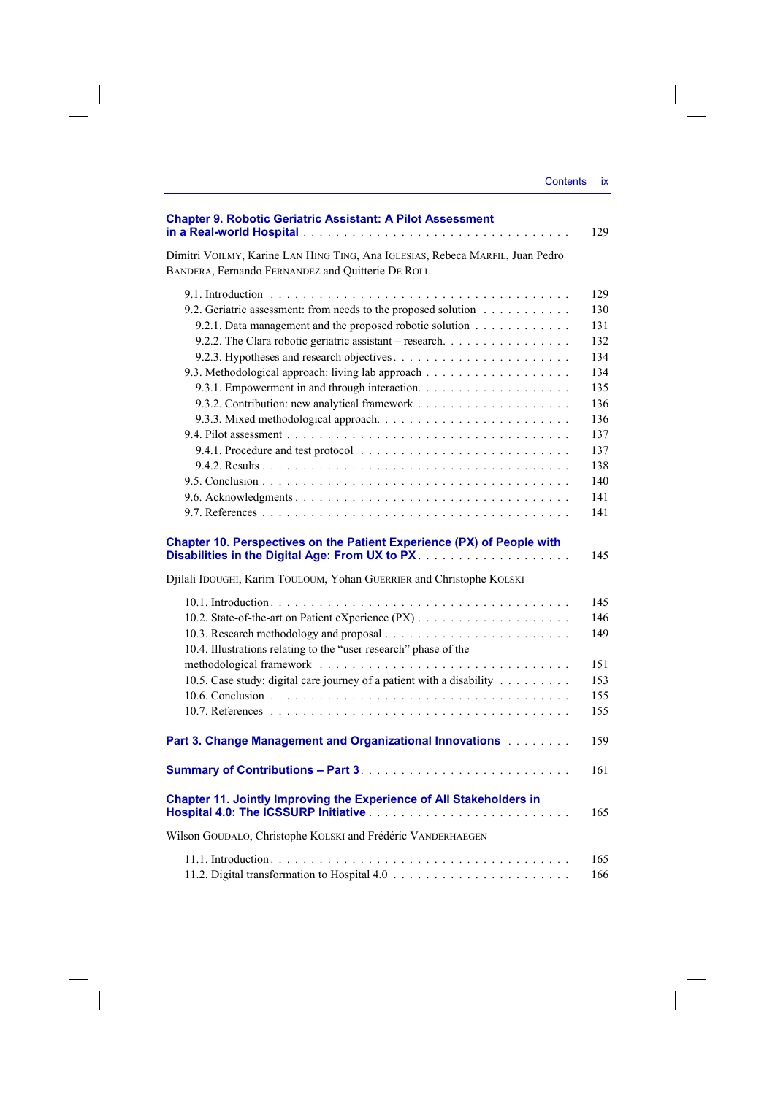| <b>Chapter 9. Robotic Geriatric Assistant: A Pilot Assessment</b><br>129                                                                                                                                                            |
|-------------------------------------------------------------------------------------------------------------------------------------------------------------------------------------------------------------------------------------|
| Dimitri VOILMY, Karine LAN HING TING, Ana IGLESIAS, Rebeca MARFIL, Juan Pedro<br>BANDERA, Fernando FERNANDEZ and Quitterie DE ROLL                                                                                                  |
| 129<br>9.2. Geriatric assessment: from needs to the proposed solution<br>130<br>9.2.1. Data management and the proposed robotic solution<br>131<br>132<br>134<br>134<br>135<br>136<br>136<br>137<br>137<br>138<br>140<br>141<br>141 |
| Chapter 10. Perspectives on the Patient Experience (PX) of People with<br>145                                                                                                                                                       |
| Djilali IDOUGHI, Karim TOULOUM, Yohan GUERRIER and Christophe KOLSKI                                                                                                                                                                |
| 145<br>146<br>149<br>10.4. Illustrations relating to the "user research" phase of the<br>151<br>10.5. Case study: digital care journey of a patient with a disability<br>153<br>155<br>155                                          |
| Part 3. Change Management and Organizational Innovations [11] Lawrence Management and Organizational Innovations [11] Lawrence Management and D<br>159                                                                              |
| 161                                                                                                                                                                                                                                 |
| Chapter 11. Jointly Improving the Experience of All Stakeholders in<br>165                                                                                                                                                          |
| Wilson GOUDALO, Christophe KOLSKI and Frédéric VANDERHAEGEN                                                                                                                                                                         |
| 165<br>166                                                                                                                                                                                                                          |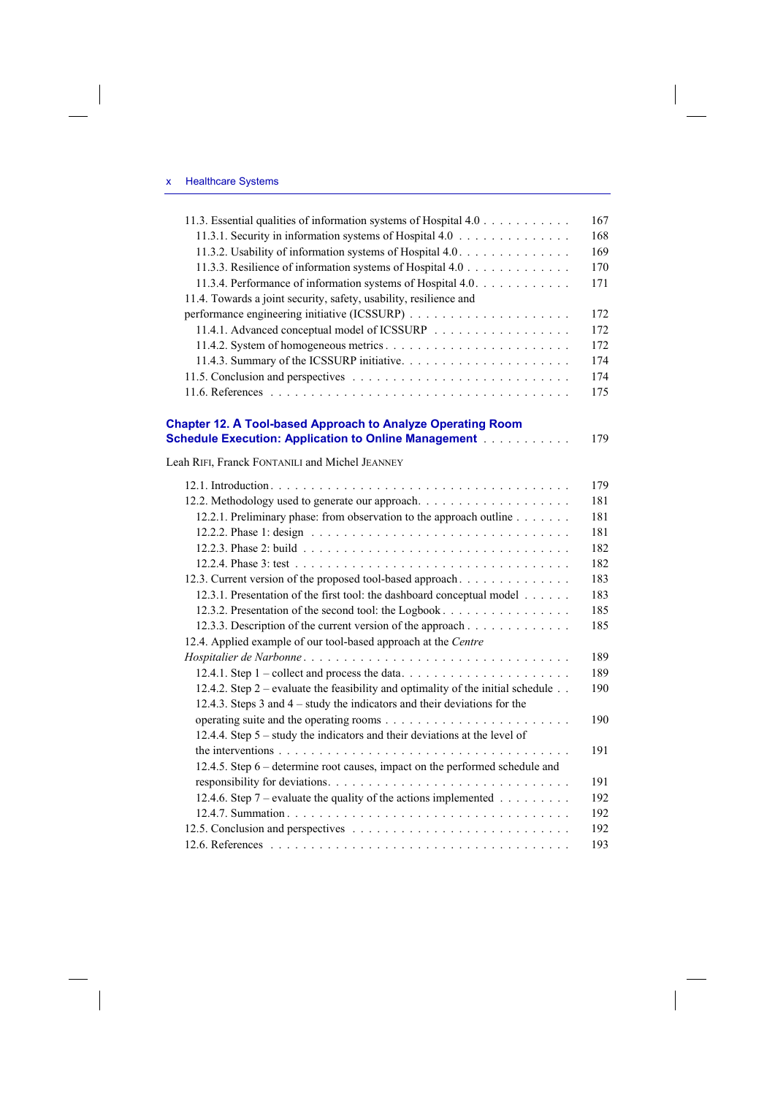$\begin{array}{c} \hline \end{array}$ 

| 11.3. Essential qualities of information systems of Hospital 4.0                 | 167 |
|----------------------------------------------------------------------------------|-----|
| 11.3.1. Security in information systems of Hospital 4.0                          | 168 |
| 11.3.2. Usability of information systems of Hospital 4.0.                        | 169 |
| 11.3.3. Resilience of information systems of Hospital 4.0                        | 170 |
| 11.3.4. Performance of information systems of Hospital 4.0.                      | 171 |
| 11.4. Towards a joint security, safety, usability, resilience and                |     |
|                                                                                  | 172 |
| 11.4.1. Advanced conceptual model of ICSSURP                                     | 172 |
|                                                                                  | 172 |
|                                                                                  | 174 |
|                                                                                  | 174 |
|                                                                                  | 175 |
| <b>Chapter 12. A Tool-based Approach to Analyze Operating Room</b>               |     |
| <b>Schedule Execution: Application to Online Management</b>                      | 179 |
| Leah RIFI, Franck FONTANILI and Michel JEANNEY                                   |     |
|                                                                                  | 179 |
|                                                                                  | 181 |
| 12.2.1. Preliminary phase: from observation to the approach outline              | 181 |
|                                                                                  | 181 |
|                                                                                  | 182 |
|                                                                                  | 182 |
| 12.3. Current version of the proposed tool-based approach                        | 183 |
| 12.3.1. Presentation of the first tool: the dashboard conceptual model           | 183 |
| 12.3.2. Presentation of the second tool: the Logbook                             | 185 |
| 12.3.3. Description of the current version of the approach                       | 185 |
| 12.4. Applied example of our tool-based approach at the Centre                   |     |
|                                                                                  | 189 |
|                                                                                  | 189 |
| 12.4.2. Step 2 – evaluate the feasibility and optimality of the initial schedule | 190 |
| 12.4.3. Steps $3$ and $4 -$ study the indicators and their deviations for the    |     |
|                                                                                  | 190 |
| 12.4.4. Step 5 – study the indicators and their deviations at the level of       |     |
|                                                                                  | 191 |
| 12.4.5. Step 6 – determine root causes, impact on the performed schedule and     |     |
|                                                                                  | 191 |
| 12.4.6. Step 7 – evaluate the quality of the actions implemented                 | 192 |
|                                                                                  | 192 |
|                                                                                  | 192 |
|                                                                                  | 193 |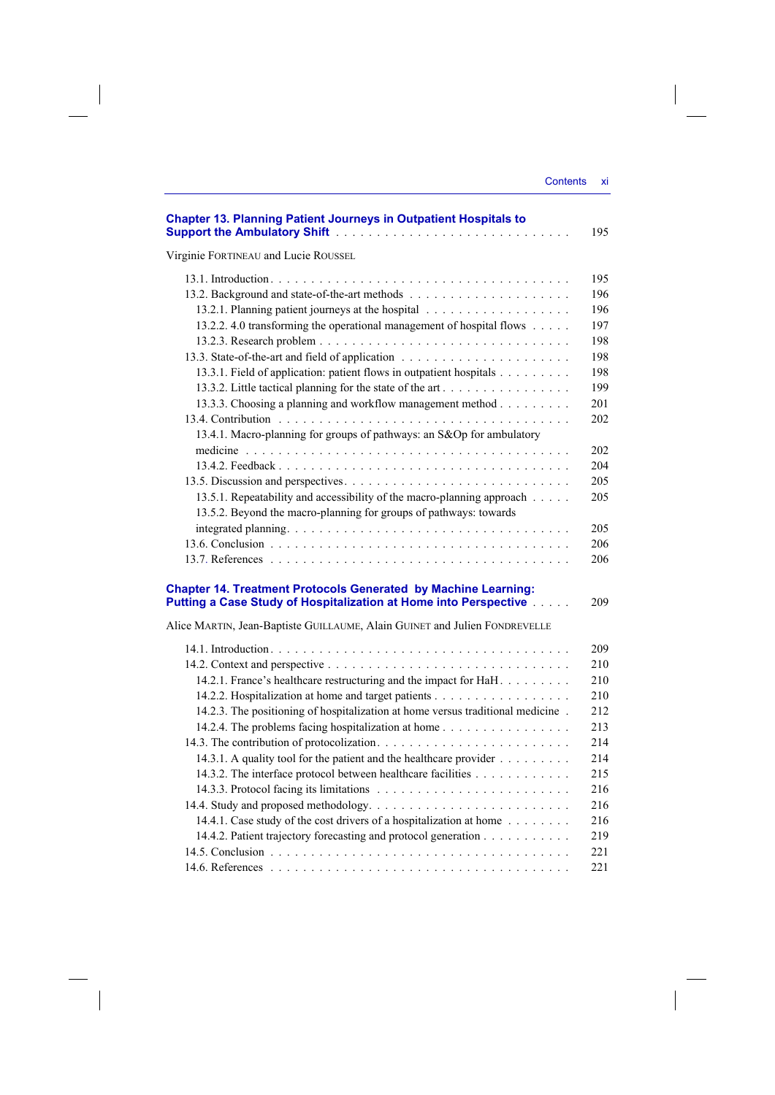| <b>Chapter 13. Planning Patient Journeys in Outpatient Hospitals to</b>         | 195 |
|---------------------------------------------------------------------------------|-----|
| Virginie FORTINEAU and Lucie ROUSSEL                                            |     |
|                                                                                 | 195 |
|                                                                                 | 196 |
|                                                                                 | 196 |
| 13.2.2. 4.0 transforming the operational management of hospital flows           | 197 |
|                                                                                 | 198 |
|                                                                                 | 198 |
| 13.3.1. Field of application: patient flows in outpatient hospitals             | 198 |
| 13.3.2. Little tactical planning for the state of the art                       | 199 |
| 13.3.3. Choosing a planning and workflow management method                      | 201 |
|                                                                                 | 202 |
| 13.4.1. Macro-planning for groups of pathways: an S&Op for ambulatory           |     |
|                                                                                 | 202 |
|                                                                                 | 204 |
|                                                                                 | 205 |
| 13.5.1. Repeatability and accessibility of the macro-planning approach          | 205 |
| 13.5.2. Beyond the macro-planning for groups of pathways: towards               |     |
|                                                                                 | 205 |
|                                                                                 | 206 |
|                                                                                 | 206 |
| <b>Chapter 14. Treatment Protocols Generated by Machine Learning:</b>           |     |
| Putting a Case Study of Hospitalization at Home into Perspective                | 209 |
| Alice MARTIN, Jean-Baptiste GUILLAUME, Alain GUINET and Julien FONDREVELLE      |     |
|                                                                                 | 209 |
|                                                                                 | 210 |
| 14.2.1. France's healthcare restructuring and the impact for HaH.               | 210 |
| 14.2.2. Hospitalization at home and target patients                             | 210 |
| 14.2.3. The positioning of hospitalization at home versus traditional medicine. | 212 |
| 14.2.4. The problems facing hospitalization at home                             | 213 |
|                                                                                 | 214 |
| 14.3.1. A quality tool for the patient and the healthcare provider              | 214 |
| 14.3.2. The interface protocol between healthcare facilities                    | 215 |
|                                                                                 | 216 |
|                                                                                 | 216 |
| 14.4.1. Case study of the cost drivers of a hospitalization at home             | 216 |
| 14.4.2. Patient trajectory forecasting and protocol generation                  | 219 |
|                                                                                 | 221 |
|                                                                                 | 221 |